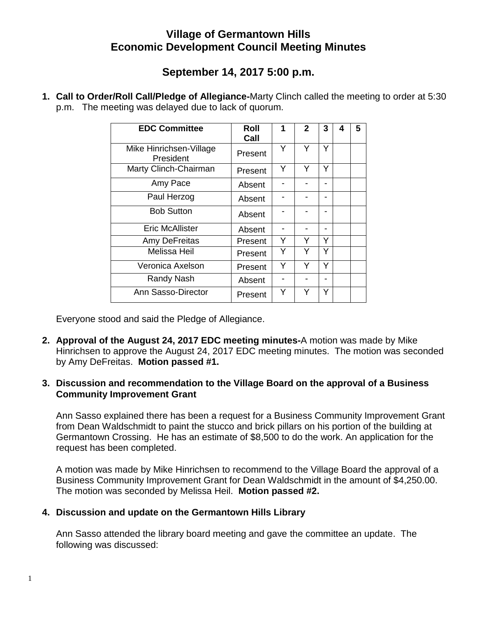# **Village of Germantown Hills Economic Development Council Meeting Minutes**

# **September 14, 2017 5:00 p.m.**

**1. Call to Order/Roll Call/Pledge of Allegiance-**Marty Clinch called the meeting to order at 5:30 p.m. The meeting was delayed due to lack of quorum.

| <b>EDC Committee</b>                 | Roll<br>Call | 1 | $\mathbf{2}$ | 3 | 4 | 5 |
|--------------------------------------|--------------|---|--------------|---|---|---|
| Mike Hinrichsen-Village<br>President | Present      | Y | Υ            | Υ |   |   |
| Marty Clinch-Chairman                | Present      | Y | Y            | Y |   |   |
| Amy Pace                             | Absent       |   |              |   |   |   |
| Paul Herzog                          | Absent       |   |              |   |   |   |
| <b>Bob Sutton</b>                    | Absent       |   |              |   |   |   |
| <b>Eric McAllister</b>               | Absent       |   |              |   |   |   |
| Amy DeFreitas                        | Present      | Y | Y            | v |   |   |
| <b>Melissa Heil</b>                  | Present      | Y |              | Y |   |   |
| Veronica Axelson                     | Present      | Y | Y            | Y |   |   |
| Randy Nash                           | Absent       |   |              |   |   |   |
| Ann Sasso-Director                   | Present      | Y | Y            | Y |   |   |

Everyone stood and said the Pledge of Allegiance.

**2. Approval of the August 24, 2017 EDC meeting minutes-**A motion was made by Mike Hinrichsen to approve the August 24, 2017 EDC meeting minutes. The motion was seconded by Amy DeFreitas. **Motion passed #1.**

### **3. Discussion and recommendation to the Village Board on the approval of a Business Community Improvement Grant**

Ann Sasso explained there has been a request for a Business Community Improvement Grant from Dean Waldschmidt to paint the stucco and brick pillars on his portion of the building at Germantown Crossing. He has an estimate of \$8,500 to do the work. An application for the request has been completed.

A motion was made by Mike Hinrichsen to recommend to the Village Board the approval of a Business Community Improvement Grant for Dean Waldschmidt in the amount of \$4,250.00. The motion was seconded by Melissa Heil. **Motion passed #2.**

## **4. Discussion and update on the Germantown Hills Library**

Ann Sasso attended the library board meeting and gave the committee an update. The following was discussed: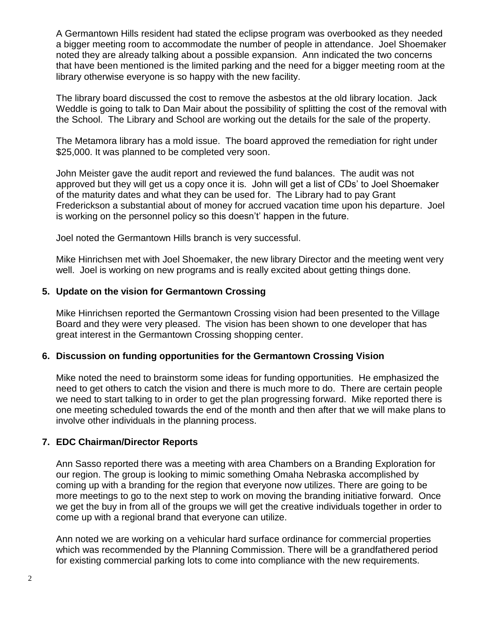A Germantown Hills resident had stated the eclipse program was overbooked as they needed a bigger meeting room to accommodate the number of people in attendance. Joel Shoemaker noted they are already talking about a possible expansion. Ann indicated the two concerns that have been mentioned is the limited parking and the need for a bigger meeting room at the library otherwise everyone is so happy with the new facility.

The library board discussed the cost to remove the asbestos at the old library location. Jack Weddle is going to talk to Dan Mair about the possibility of splitting the cost of the removal with the School. The Library and School are working out the details for the sale of the property.

The Metamora library has a mold issue. The board approved the remediation for right under \$25,000. It was planned to be completed very soon.

John Meister gave the audit report and reviewed the fund balances. The audit was not approved but they will get us a copy once it is. John will get a list of CDs' to Joel Shoemaker of the maturity dates and what they can be used for. The Library had to pay Grant Frederickson a substantial about of money for accrued vacation time upon his departure. Joel is working on the personnel policy so this doesn't' happen in the future.

Joel noted the Germantown Hills branch is very successful.

Mike Hinrichsen met with Joel Shoemaker, the new library Director and the meeting went very well. Joel is working on new programs and is really excited about getting things done.

### **5. Update on the vision for Germantown Crossing**

Mike Hinrichsen reported the Germantown Crossing vision had been presented to the Village Board and they were very pleased. The vision has been shown to one developer that has great interest in the Germantown Crossing shopping center.

#### **6. Discussion on funding opportunities for the Germantown Crossing Vision**

Mike noted the need to brainstorm some ideas for funding opportunities. He emphasized the need to get others to catch the vision and there is much more to do. There are certain people we need to start talking to in order to get the plan progressing forward. Mike reported there is one meeting scheduled towards the end of the month and then after that we will make plans to involve other individuals in the planning process.

#### **7. EDC Chairman/Director Reports**

Ann Sasso reported there was a meeting with area Chambers on a Branding Exploration for our region. The group is looking to mimic something Omaha Nebraska accomplished by coming up with a branding for the region that everyone now utilizes. There are going to be more meetings to go to the next step to work on moving the branding initiative forward. Once we get the buy in from all of the groups we will get the creative individuals together in order to come up with a regional brand that everyone can utilize.

Ann noted we are working on a vehicular hard surface ordinance for commercial properties which was recommended by the Planning Commission. There will be a grandfathered period for existing commercial parking lots to come into compliance with the new requirements.